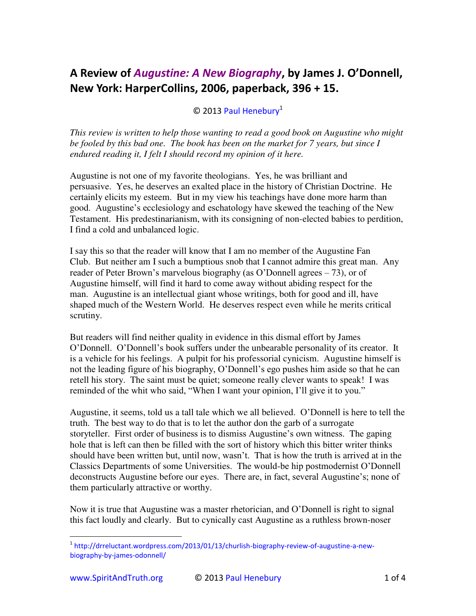## A Review of *[Augustine: A New Biography](http://www.spiritandtruth.org/id/isbn.htm?978-0060535384)*, by James J. O'Donnell, **New York: HarperCollins, 2006, paperback, 396 + 15.**

## $©$  2013 [Paul Henebury](http://www.spiritandtruth.org/id/ph.htm)<sup>1</sup>

*This review is written to help those wanting to read a good book on Augustine who might be fooled by this bad one. The book has been on the market for 7 years, but since I endured reading it, I felt I should record my opinion of it here.*

Augustine is not one of my favorite theologians. Yes, he was brilliant and persuasive. Yes, he deserves an exalted place in the history of Christian Doctrine. He certainly elicits my esteem. But in my view his teachings have done more harm than good. Augustine's ecclesiology and eschatology have skewed the teaching of the New Testament. His predestinarianism, with its consigning of non-elected babies to perdition, I find a cold and unbalanced logic.

I say this so that the reader will know that I am no member of the Augustine Fan Club. But neither am I such a bumptious snob that I cannot admire this great man. Any reader of Peter Brown's marvelous biography (as O'Donnell agrees – 73), or of Augustine himself, will find it hard to come away without abiding respect for the man. Augustine is an intellectual giant whose writings, both for good and ill, have shaped much of the Western World. He deserves respect even while he merits critical scrutiny.

But readers will find neither quality in evidence in this dismal effort by James O'Donnell. O'Donnell's book suffers under the unbearable personality of its creator. It is a vehicle for his feelings. A pulpit for his professorial cynicism. Augustine himself is not the leading figure of his biography, O'Donnell's ego pushes him aside so that he can retell his story. The saint must be quiet; someone really clever wants to speak! I was reminded of the whit who said, "When I want your opinion, I'll give it to you."

Augustine, it seems, told us a tall tale which we all believed. O'Donnell is here to tell the truth. The best way to do that is to let the author don the garb of a surrogate storyteller. First order of business is to dismiss Augustine's own witness. The gaping hole that is left can then be filled with the sort of history which this bitter writer thinks should have been written but, until now, wasn't. That is how the truth is arrived at in the Classics Departments of some Universities. The would-be hip postmodernist O'Donnell deconstructs Augustine before our eyes. There are, in fact, several Augustine's; none of them particularly attractive or worthy.

Now it is true that Augustine was a master rhetorician, and O'Donnell is right to signal this fact loudly and clearly. But to cynically cast Augustine as a ruthless brown-noser

j

<sup>&</sup>lt;sup>1</sup> [http://drreluctant.wordpress.com/2013/01/13/churlish-biography-review-of-augustine-a-new](http://drreluctant.wordpress.com/2013/01/13/churlish-biography-review-of-augustine-a-new-biography-by-james-odonnell/)[biography-by-james-odonnell/](http://drreluctant.wordpress.com/2013/01/13/churlish-biography-review-of-augustine-a-new-biography-by-james-odonnell/)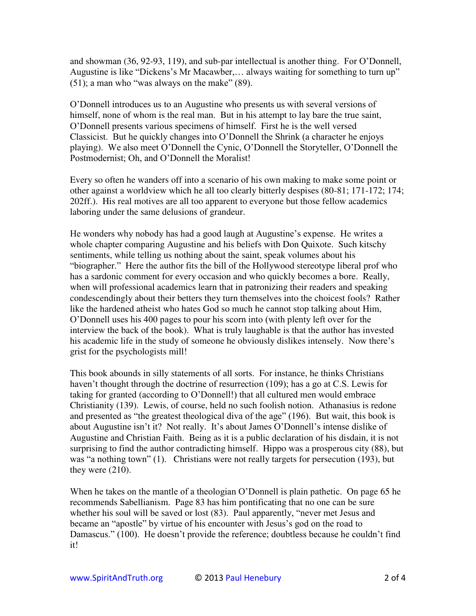and showman (36, 92-93, 119), and sub-par intellectual is another thing. For O'Donnell, Augustine is like "Dickens's Mr Macawber,… always waiting for something to turn up"  $(51)$ ; a man who "was always on the make"  $(89)$ .

O'Donnell introduces us to an Augustine who presents us with several versions of himself, none of whom is the real man. But in his attempt to lay bare the true saint, O'Donnell presents various specimens of himself. First he is the well versed Classicist. But he quickly changes into O'Donnell the Shrink (a character he enjoys playing). We also meet O'Donnell the Cynic, O'Donnell the Storyteller, O'Donnell the Postmodernist; Oh, and O'Donnell the Moralist!

Every so often he wanders off into a scenario of his own making to make some point or other against a worldview which he all too clearly bitterly despises (80-81; 171-172; 174; 202ff.). His real motives are all too apparent to everyone but those fellow academics laboring under the same delusions of grandeur.

He wonders why nobody has had a good laugh at Augustine's expense. He writes a whole chapter comparing Augustine and his beliefs with Don Quixote. Such kitschy sentiments, while telling us nothing about the saint, speak volumes about his "biographer." Here the author fits the bill of the Hollywood stereotype liberal prof who has a sardonic comment for every occasion and who quickly becomes a bore. Really, when will professional academics learn that in patronizing their readers and speaking condescendingly about their betters they turn themselves into the choicest fools? Rather like the hardened atheist who hates God so much he cannot stop talking about Him, O'Donnell uses his 400 pages to pour his scorn into (with plenty left over for the interview the back of the book). What is truly laughable is that the author has invested his academic life in the study of someone he obviously dislikes intensely. Now there's grist for the psychologists mill!

This book abounds in silly statements of all sorts. For instance, he thinks Christians haven't thought through the doctrine of resurrection (109); has a go at C.S. Lewis for taking for granted (according to O'Donnell!) that all cultured men would embrace Christianity (139). Lewis, of course, held no such foolish notion. Athanasius is redone and presented as "the greatest theological diva of the age" (196). But wait, this book is about Augustine isn't it? Not really. It's about James O'Donnell's intense dislike of Augustine and Christian Faith. Being as it is a public declaration of his disdain, it is not surprising to find the author contradicting himself. Hippo was a prosperous city (88), but was "a nothing town" (1). Christians were not really targets for persecution (193), but they were (210).

When he takes on the mantle of a theologian O'Donnell is plain pathetic. On page 65 he recommends Sabellianism. Page 83 has him pontificating that no one can be sure whether his soul will be saved or lost (83). Paul apparently, "never met Jesus and became an "apostle" by virtue of his encounter with Jesus's god on the road to Damascus." (100). He doesn't provide the reference; doubtless because he couldn't find it!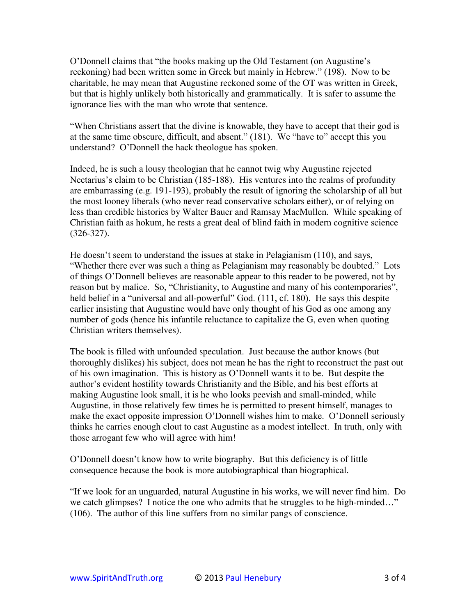O'Donnell claims that "the books making up the Old Testament (on Augustine's reckoning) had been written some in Greek but mainly in Hebrew." (198). Now to be charitable, he may mean that Augustine reckoned some of the OT was written in Greek, but that is highly unlikely both historically and grammatically. It is safer to assume the ignorance lies with the man who wrote that sentence.

"When Christians assert that the divine is knowable, they have to accept that their god is at the same time obscure, difficult, and absent." (181). We "have to" accept this you understand? O'Donnell the hack theologue has spoken.

Indeed, he is such a lousy theologian that he cannot twig why Augustine rejected Nectarius's claim to be Christian (185-188). His ventures into the realms of profundity are embarrassing (e.g. 191-193), probably the result of ignoring the scholarship of all but the most looney liberals (who never read conservative scholars either), or of relying on less than credible histories by Walter Bauer and Ramsay MacMullen. While speaking of Christian faith as hokum, he rests a great deal of blind faith in modern cognitive science (326-327).

He doesn't seem to understand the issues at stake in Pelagianism (110), and says, "Whether there ever was such a thing as Pelagianism may reasonably be doubted." Lots of things O'Donnell believes are reasonable appear to this reader to be powered, not by reason but by malice. So, "Christianity, to Augustine and many of his contemporaries", held belief in a "universal and all-powerful" God. (111, cf. 180). He says this despite earlier insisting that Augustine would have only thought of his God as one among any number of gods (hence his infantile reluctance to capitalize the G, even when quoting Christian writers themselves).

The book is filled with unfounded speculation. Just because the author knows (but thoroughly dislikes) his subject, does not mean he has the right to reconstruct the past out of his own imagination. This is history as O'Donnell wants it to be. But despite the author's evident hostility towards Christianity and the Bible, and his best efforts at making Augustine look small, it is he who looks peevish and small-minded, while Augustine, in those relatively few times he is permitted to present himself, manages to make the exact opposite impression O'Donnell wishes him to make. O'Donnell seriously thinks he carries enough clout to cast Augustine as a modest intellect. In truth, only with those arrogant few who will agree with him!

O'Donnell doesn't know how to write biography. But this deficiency is of little consequence because the book is more autobiographical than biographical.

"If we look for an unguarded, natural Augustine in his works, we will never find him. Do we catch glimpses? I notice the one who admits that he struggles to be high-minded…" (106). The author of this line suffers from no similar pangs of conscience.